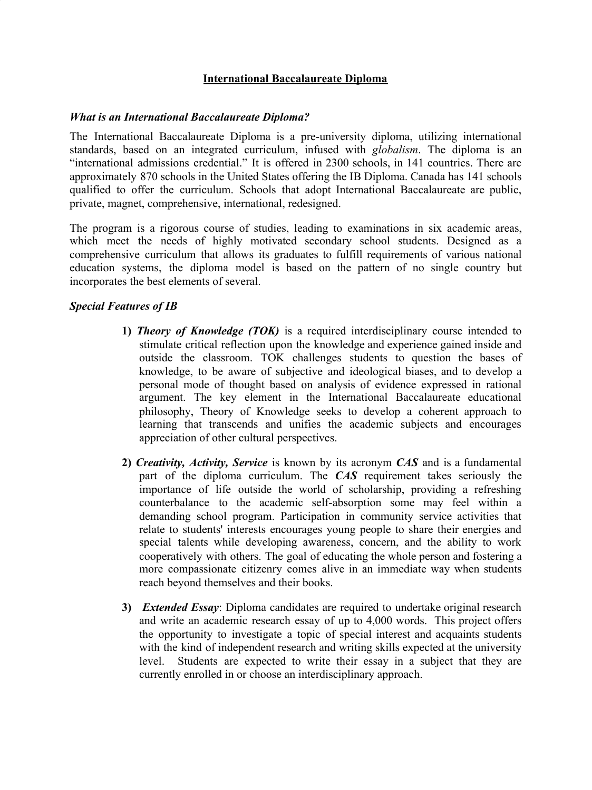#### **International Baccalaureate Diploma**

#### *What is an International Baccalaureate Diploma?*

The International Baccalaureate Diploma is a pre-university diploma, utilizing international standards, based on an integrated curriculum, infused with *globalism*. The diploma is an "international admissions credential." It is offered in 2300 schools, in 141 countries. There are approximately 870 schools in the United States offering the IB Diploma. Canada has 141 schools qualified to offer the curriculum. Schools that adopt International Baccalaureate are public, private, magnet, comprehensive, international, redesigned.

The program is a rigorous course of studies, leading to examinations in six academic areas, which meet the needs of highly motivated secondary school students. Designed as a comprehensive curriculum that allows its graduates to fulfill requirements of various national education systems, the diploma model is based on the pattern of no single country but incorporates the best elements of several.

#### *Special Features of IB*

- **1)** *Theory of Knowledge (TOK)* is a required interdisciplinary course intended to stimulate critical reflection upon the knowledge and experience gained inside and outside the classroom. TOK challenges students to question the bases of knowledge, to be aware of subjective and ideological biases, and to develop a personal mode of thought based on analysis of evidence expressed in rational argument. The key element in the International Baccalaureate educational philosophy, Theory of Knowledge seeks to develop a coherent approach to learning that transcends and unifies the academic subjects and encourages appreciation of other cultural perspectives.
- **2)** *Creativity, Activity, Service* is known by its acronym *CAS* and is a fundamental part of the diploma curriculum. The *CAS* requirement takes seriously the importance of life outside the world of scholarship, providing a refreshing counterbalance to the academic self-absorption some may feel within a demanding school program. Participation in community service activities that relate to students' interests encourages young people to share their energies and special talents while developing awareness, concern, and the ability to work cooperatively with others. The goal of educating the whole person and fostering a more compassionate citizenry comes alive in an immediate way when students reach beyond themselves and their books.
- **3)** *Extended Essay*: Diploma candidates are required to undertake original research and write an academic research essay of up to 4,000 words. This project offers the opportunity to investigate a topic of special interest and acquaints students with the kind of independent research and writing skills expected at the university level. Students are expected to write their essay in a subject that they are currently enrolled in or choose an interdisciplinary approach.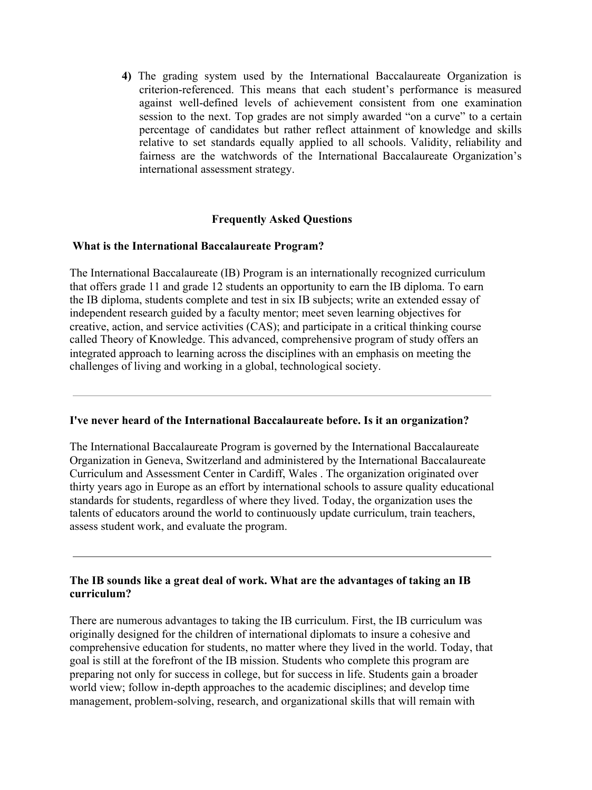**4)** The grading system used by the International Baccalaureate Organization is criterion-referenced. This means that each student's performance is measured against well-defined levels of achievement consistent from one examination session to the next. Top grades are not simply awarded "on a curve" to a certain percentage of candidates but rather reflect attainment of knowledge and skills relative to set standards equally applied to all schools. Validity, reliability and fairness are the watchwords of the International Baccalaureate Organization's international assessment strategy.

### **Frequently Asked Questions**

#### **What is the International Baccalaureate Program?**

The International Baccalaureate (IB) Program is an internationally recognized curriculum that offers grade 11 and grade 12 students an opportunity to earn the IB diploma. To earn the IB diploma, students complete and test in six IB subjects; write an extended essay of independent research guided by a faculty mentor; meet seven learning objectives for creative, action, and service activities (CAS); and participate in a critical thinking course called Theory of Knowledge. This advanced, comprehensive program of study offers an integrated approach to learning across the disciplines with an emphasis on meeting the challenges of living and working in a global, technological society.

#### **I've never heard of the International Baccalaureate before. Is it an organization?**

The International Baccalaureate Program is governed by the International Baccalaureate Organization in Geneva, Switzerland and administered by the International Baccalaureate Curriculum and Assessment Center in Cardiff, Wales . The organization originated over thirty years ago in Europe as an effort by international schools to assure quality educational standards for students, regardless of where they lived. Today, the organization uses the talents of educators around the world to continuously update curriculum, train teachers, assess student work, and evaluate the program.

### **The IB sounds like a great deal of work. What are the advantages of taking an IB curriculum?**

There are numerous advantages to taking the IB curriculum. First, the IB curriculum was originally designed for the children of international diplomats to insure a cohesive and comprehensive education for students, no matter where they lived in the world. Today, that goal is still at the forefront of the IB mission. Students who complete this program are preparing not only for success in college, but for success in life. Students gain a broader world view; follow in-depth approaches to the academic disciplines; and develop time management, problem-solving, research, and organizational skills that will remain with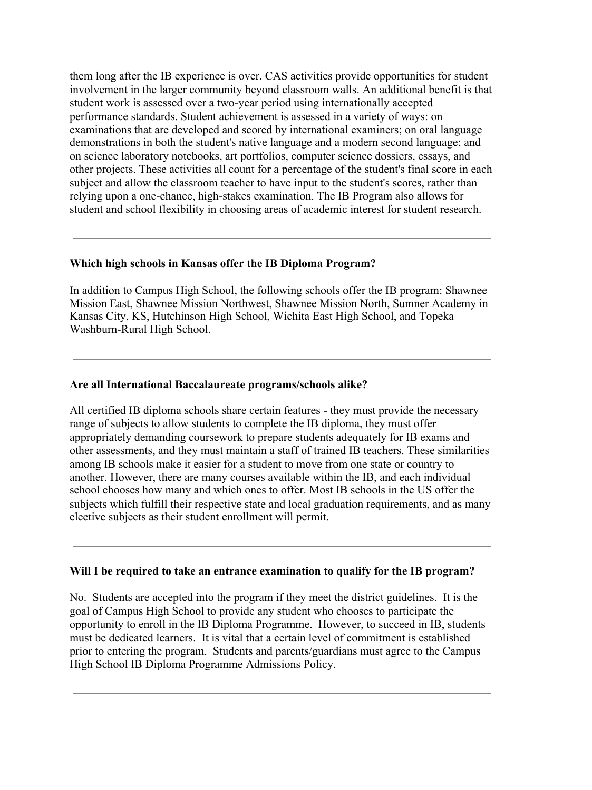them long after the IB experience is over. CAS activities provide opportunities for student involvement in the larger community beyond classroom walls. An additional benefit is that student work is assessed over a two-year period using internationally accepted performance standards. Student achievement is assessed in a variety of ways: on examinations that are developed and scored by international examiners; on oral language demonstrations in both the student's native language and a modern second language; and on science laboratory notebooks, art portfolios, computer science dossiers, essays, and other projects. These activities all count for a percentage of the student's final score in each subject and allow the classroom teacher to have input to the student's scores, rather than relying upon a one-chance, high-stakes examination. The IB Program also allows for student and school flexibility in choosing areas of academic interest for student research.

#### **Which high schools in Kansas offer the IB Diploma Program?**

In addition to Campus High School, the following schools offer the IB program: Shawnee Mission East, Shawnee Mission Northwest, Shawnee Mission North, Sumner Academy in Kansas City, KS, Hutchinson High School, Wichita East High School, and Topeka Washburn-Rural High School.

#### **Are all International Baccalaureate programs/schools alike?**

All certified IB diploma schools share certain features - they must provide the necessary range of subjects to allow students to complete the IB diploma, they must offer appropriately demanding coursework to prepare students adequately for IB exams and other assessments, and they must maintain a staff of trained IB teachers. These similarities among IB schools make it easier for a student to move from one state or country to another. However, there are many courses available within the IB, and each individual school chooses how many and which ones to offer. Most IB schools in the US offer the subjects which fulfill their respective state and local graduation requirements, and as many elective subjects as their student enrollment will permit.

### **Will I be required to take an entrance examination to qualify for the IB program?**

No. Students are accepted into the program if they meet the district guidelines. It is the goal of Campus High School to provide any student who chooses to participate the opportunity to enroll in the IB Diploma Programme. However, to succeed in IB, students must be dedicated learners. It is vital that a certain level of commitment is established prior to entering the program. Students and parents/guardians must agree to the Campus High School IB Diploma Programme Admissions Policy.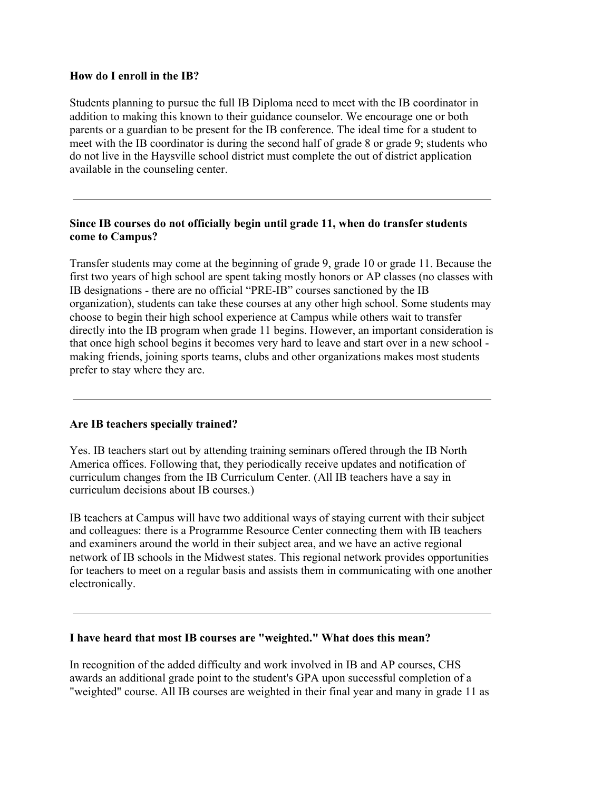#### **How do I enroll in the IB?**

Students planning to pursue the full IB Diploma need to meet with the IB coordinator in addition to making this known to their guidance counselor. We encourage one or both parents or a guardian to be present for the IB conference. The ideal time for a student to meet with the IB coordinator is during the second half of grade 8 or grade 9; students who do not live in the Haysville school district must complete the out of district application available in the counseling center.

## **Since IB courses do not officially begin until grade 11, when do transfer students come to Campus?**

Transfer students may come at the beginning of grade 9, grade 10 or grade 11. Because the first two years of high school are spent taking mostly honors or AP classes (no classes with IB designations - there are no official "PRE-IB" courses sanctioned by the IB organization), students can take these courses at any other high school. Some students may choose to begin their high school experience at Campus while others wait to transfer directly into the IB program when grade 11 begins. However, an important consideration is that once high school begins it becomes very hard to leave and start over in a new school making friends, joining sports teams, clubs and other organizations makes most students prefer to stay where they are.

### **Are IB teachers specially trained?**

Yes. IB teachers start out by attending training seminars offered through the IB North America offices. Following that, they periodically receive updates and notification of curriculum changes from the IB Curriculum Center. (All IB teachers have a say in curriculum decisions about IB courses.)

IB teachers at Campus will have two additional ways of staying current with their subject and colleagues: there is a Programme Resource Center connecting them with IB teachers and examiners around the world in their subject area, and we have an active regional network of IB schools in the Midwest states. This regional network provides opportunities for teachers to meet on a regular basis and assists them in communicating with one another electronically.

#### **I have heard that most IB courses are "weighted." What does this mean?**

In recognition of the added difficulty and work involved in IB and AP courses, CHS awards an additional grade point to the student's GPA upon successful completion of a "weighted" course. All IB courses are weighted in their final year and many in grade 11 as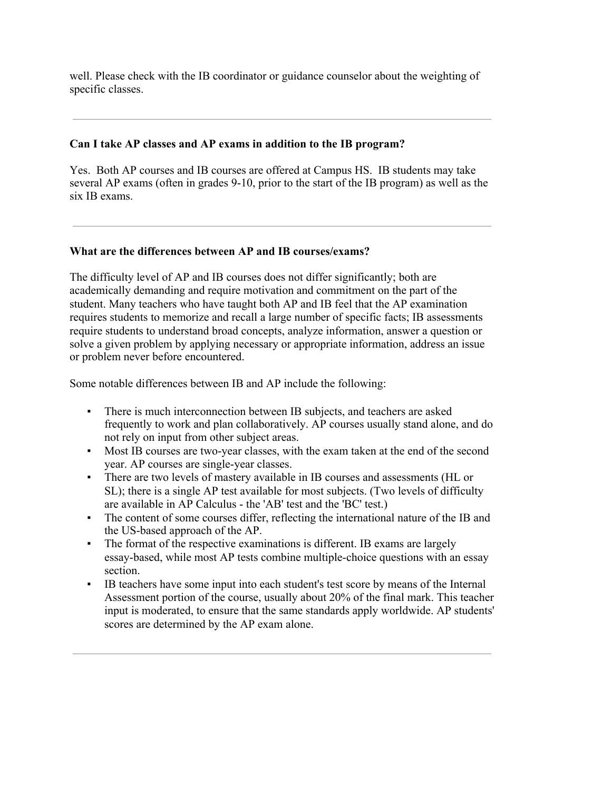well. Please check with the IB coordinator or guidance counselor about the weighting of specific classes.

### **Can I take AP classes and AP exams in addition to the IB program?**

Yes. Both AP courses and IB courses are offered at Campus HS. IB students may take several AP exams (often in grades 9-10, prior to the start of the IB program) as well as the six IB exams.

### **What are the differences between AP and IB courses/exams?**

The difficulty level of AP and IB courses does not differ significantly; both are academically demanding and require motivation and commitment on the part of the student. Many teachers who have taught both AP and IB feel that the AP examination requires students to memorize and recall a large number of specific facts; IB assessments require students to understand broad concepts, analyze information, answer a question or solve a given problem by applying necessary or appropriate information, address an issue or problem never before encountered.

Some notable differences between IB and AP include the following:

- There is much interconnection between IB subjects, and teachers are asked frequently to work and plan collaboratively. AP courses usually stand alone, and do not rely on input from other subject areas.
- Most IB courses are two-year classes, with the exam taken at the end of the second year. AP courses are single-year classes.
- There are two levels of mastery available in IB courses and assessments (HL or SL); there is a single AP test available for most subjects. (Two levels of difficulty are available in AP Calculus - the 'AB' test and the 'BC' test.)
- The content of some courses differ, reflecting the international nature of the IB and the US-based approach of the AP.
- The format of the respective examinations is different. IB exams are largely essay-based, while most AP tests combine multiple-choice questions with an essay section.
- IB teachers have some input into each student's test score by means of the Internal Assessment portion of the course, usually about 20% of the final mark. This teacher input is moderated, to ensure that the same standards apply worldwide. AP students' scores are determined by the AP exam alone.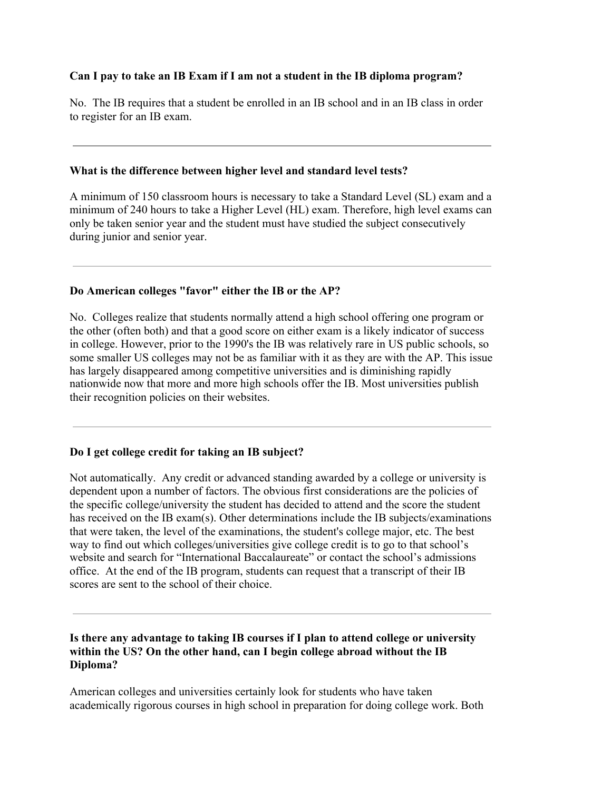# **Can I pay to take an IB Exam if I am not a student in the IB diploma program?**

No. The IB requires that a student be enrolled in an IB school and in an IB class in order to register for an IB exam.

### **What is the difference between higher level and standard level tests?**

A minimum of 150 classroom hours is necessary to take a Standard Level (SL) exam and a minimum of 240 hours to take a Higher Level (HL) exam. Therefore, high level exams can only be taken senior year and the student must have studied the subject consecutively during junior and senior year.

### **Do American colleges "favor" either the IB or the AP?**

No. Colleges realize that students normally attend a high school offering one program or the other (often both) and that a good score on either exam is a likely indicator of success in college. However, prior to the 1990's the IB was relatively rare in US public schools, so some smaller US colleges may not be as familiar with it as they are with the AP. This issue has largely disappeared among competitive universities and is diminishing rapidly nationwide now that more and more high schools offer the IB. Most universities publish their recognition policies on their websites.

### **Do I get college credit for taking an IB subject?**

Not automatically. Any credit or advanced standing awarded by a college or university is dependent upon a number of factors. The obvious first considerations are the policies of the specific college/university the student has decided to attend and the score the student has received on the IB exam(s). Other determinations include the IB subjects/examinations that were taken, the level of the examinations, the student's college major, etc. The best way to find out which colleges/universities give college credit is to go to that school's website and search for "International Baccalaureate" or contact the school's admissions office. At the end of the IB program, students can request that a transcript of their IB scores are sent to the school of their choice.

### **Is there any advantage to taking IB courses if I plan to attend college or university within the US? On the other hand, can I begin college abroad without the IB Diploma?**

American colleges and universities certainly look for students who have taken academically rigorous courses in high school in preparation for doing college work. Both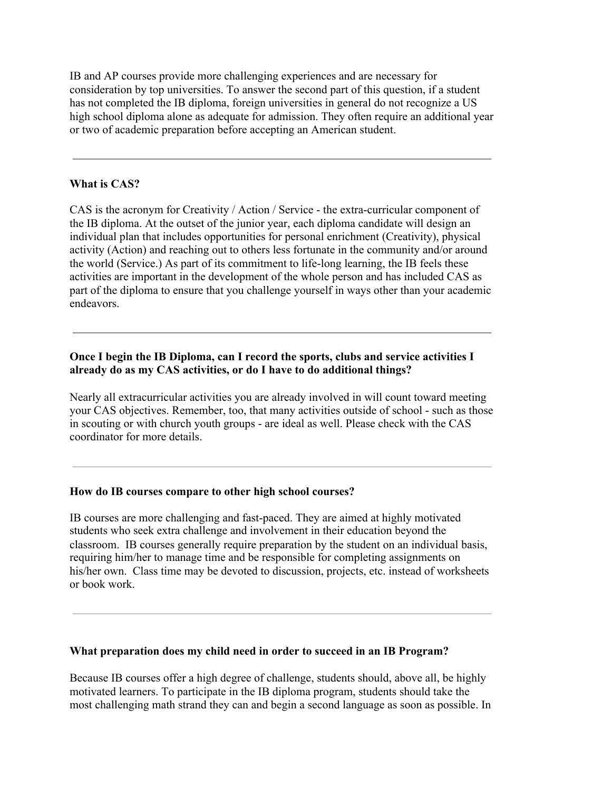IB and AP courses provide more challenging experiences and are necessary for consideration by top universities. To answer the second part of this question, if a student has not completed the IB diploma, foreign universities in general do not recognize a US high school diploma alone as adequate for admission. They often require an additional year or two of academic preparation before accepting an American student.

### **What is CAS?**

CAS is the acronym for Creativity / Action / Service - the extra-curricular component of the IB diploma. At the outset of the junior year, each diploma candidate will design an individual plan that includes opportunities for personal enrichment (Creativity), physical activity (Action) and reaching out to others less fortunate in the community and/or around the world (Service.) As part of its commitment to life-long learning, the IB feels these activities are important in the development of the whole person and has included CAS as part of the diploma to ensure that you challenge yourself in ways other than your academic endeavors.

### **Once I begin the IB Diploma, can I record the sports, clubs and service activities I already do as my CAS activities, or do I have to do additional things?**

Nearly all extracurricular activities you are already involved in will count toward meeting your CAS objectives. Remember, too, that many activities outside of school - such as those in scouting or with church youth groups - are ideal as well. Please check with the CAS coordinator for more details.

#### **How do IB courses compare to other high school courses?**

IB courses are more challenging and fast-paced. They are aimed at highly motivated students who seek extra challenge and involvement in their education beyond the classroom. IB courses generally require preparation by the student on an individual basis, requiring him/her to manage time and be responsible for completing assignments on his/her own. Class time may be devoted to discussion, projects, etc. instead of worksheets or book work.

#### **What preparation does my child need in order to succeed in an IB Program?**

Because IB courses offer a high degree of challenge, students should, above all, be highly motivated learners. To participate in the IB diploma program, students should take the most challenging math strand they can and begin a second language as soon as possible. In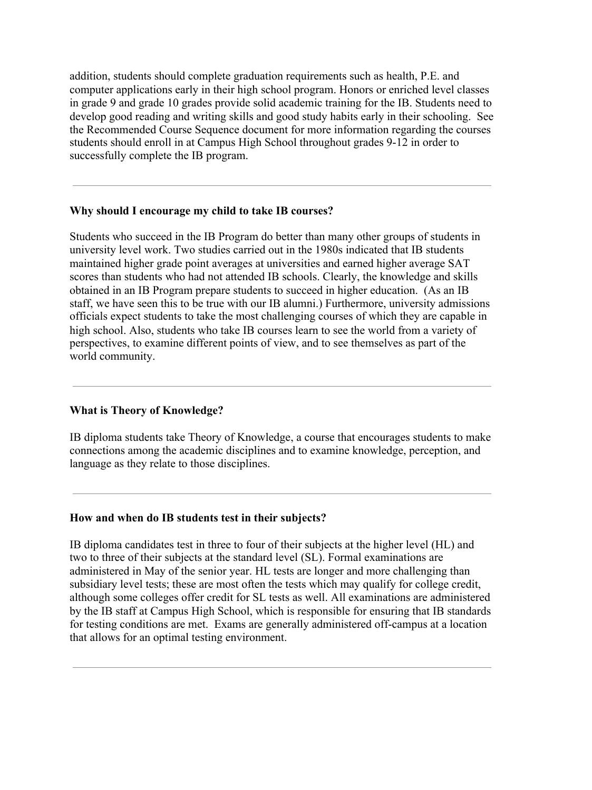addition, students should complete graduation requirements such as health, P.E. and computer applications early in their high school program. Honors or enriched level classes in grade 9 and grade 10 grades provide solid academic training for the IB. Students need to develop good reading and writing skills and good study habits early in their schooling. See the Recommended Course Sequence document for more information regarding the courses students should enroll in at Campus High School throughout grades 9-12 in order to successfully complete the IB program.

#### **Why should I encourage my child to take IB courses?**

Students who succeed in the IB Program do better than many other groups of students in university level work. Two studies carried out in the 1980s indicated that IB students maintained higher grade point averages at universities and earned higher average SAT scores than students who had not attended IB schools. Clearly, the knowledge and skills obtained in an IB Program prepare students to succeed in higher education. (As an IB staff, we have seen this to be true with our IB alumni.) Furthermore, university admissions officials expect students to take the most challenging courses of which they are capable in high school. Also, students who take IB courses learn to see the world from a variety of perspectives, to examine different points of view, and to see themselves as part of the world community.

### **What is Theory of Knowledge?**

IB diploma students take Theory of Knowledge, a course that encourages students to make connections among the academic disciplines and to examine knowledge, perception, and language as they relate to those disciplines.

### **How and when do IB students test in their subjects?**

IB diploma candidates test in three to four of their subjects at the higher level (HL) and two to three of their subjects at the standard level (SL). Formal examinations are administered in May of the senior year. HL tests are longer and more challenging than subsidiary level tests; these are most often the tests which may qualify for college credit, although some colleges offer credit for SL tests as well. All examinations are administered by the IB staff at Campus High School, which is responsible for ensuring that IB standards for testing conditions are met. Exams are generally administered off-campus at a location that allows for an optimal testing environment.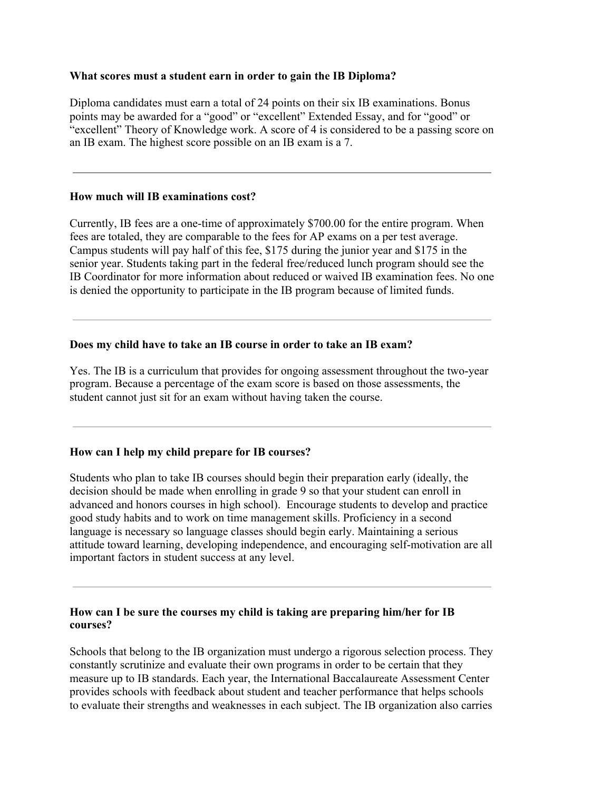#### **What scores must a student earn in order to gain the IB Diploma?**

Diploma candidates must earn a total of 24 points on their six IB examinations. Bonus points may be awarded for a "good" or "excellent" Extended Essay, and for "good" or "excellent" Theory of Knowledge work. A score of 4 is considered to be a passing score on an IB exam. The highest score possible on an IB exam is a 7.

#### **How much will IB examinations cost?**

Currently, IB fees are a one-time of approximately \$700.00 for the entire program. When fees are totaled, they are comparable to the fees for AP exams on a per test average. Campus students will pay half of this fee, \$175 during the junior year and \$175 in the senior year. Students taking part in the federal free/reduced lunch program should see the IB Coordinator for more information about reduced or waived IB examination fees. No one is denied the opportunity to participate in the IB program because of limited funds.

### **Does my child have to take an IB course in order to take an IB exam?**

Yes. The IB is a curriculum that provides for ongoing assessment throughout the two-year program. Because a percentage of the exam score is based on those assessments, the student cannot just sit for an exam without having taken the course.

### **How can I help my child prepare for IB courses?**

Students who plan to take IB courses should begin their preparation early (ideally, the decision should be made when enrolling in grade 9 so that your student can enroll in advanced and honors courses in high school). Encourage students to develop and practice good study habits and to work on time management skills. Proficiency in a second language is necessary so language classes should begin early. Maintaining a serious attitude toward learning, developing independence, and encouraging self-motivation are all important factors in student success at any level.

### **How can I be sure the courses my child is taking are preparing him/her for IB courses?**

Schools that belong to the IB organization must undergo a rigorous selection process. They constantly scrutinize and evaluate their own programs in order to be certain that they measure up to IB standards. Each year, the International Baccalaureate Assessment Center provides schools with feedback about student and teacher performance that helps schools to evaluate their strengths and weaknesses in each subject. The IB organization also carries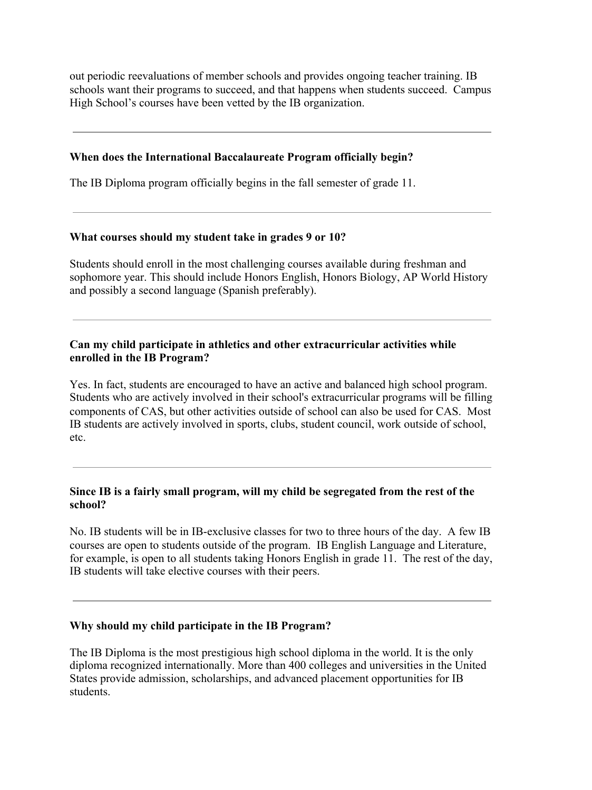out periodic reevaluations of member schools and provides ongoing teacher training. IB schools want their programs to succeed, and that happens when students succeed. Campus High School's courses have been vetted by the IB organization.

#### **When does the International Baccalaureate Program officially begin?**

The IB Diploma program officially begins in the fall semester of grade 11.

#### **What courses should my student take in grades 9 or 10?**

Students should enroll in the most challenging courses available during freshman and sophomore year. This should include Honors English, Honors Biology, AP World History and possibly a second language (Spanish preferably).

### **Can my child participate in athletics and other extracurricular activities while enrolled in the IB Program?**

Yes. In fact, students are encouraged to have an active and balanced high school program. Students who are actively involved in their school's extracurricular programs will be filling components of CAS, but other activities outside of school can also be used for CAS. Most IB students are actively involved in sports, clubs, student council, work outside of school, etc.

### **Since IB is a fairly small program, will my child be segregated from the rest of the school?**

No. IB students will be in IB-exclusive classes for two to three hours of the day. A few IB courses are open to students outside of the program. IB English Language and Literature, for example, is open to all students taking Honors English in grade 11. The rest of the day, IB students will take elective courses with their peers.

#### **Why should my child participate in the IB Program?**

The IB Diploma is the most prestigious high school diploma in the world. It is the only diploma recognized internationally. More than 400 colleges and universities in the United States provide admission, scholarships, and advanced placement opportunities for IB students.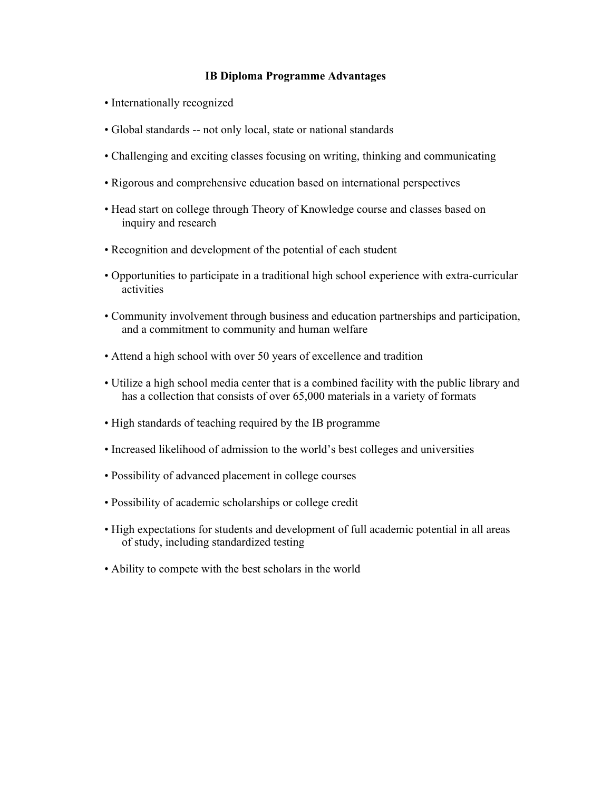#### **IB Diploma Programme Advantages**

- Internationally recognized
- Global standards -- not only local, state or national standards
- Challenging and exciting classes focusing on writing, thinking and communicating
- Rigorous and comprehensive education based on international perspectives
- Head start on college through Theory of Knowledge course and classes based on inquiry and research
- Recognition and development of the potential of each student
- Opportunities to participate in a traditional high school experience with extra-curricular activities
- Community involvement through business and education partnerships and participation, and a commitment to community and human welfare
- Attend a high school with over 50 years of excellence and tradition
- Utilize a high school media center that is a combined facility with the public library and has a collection that consists of over 65,000 materials in a variety of formats
- High standards of teaching required by the IB programme
- Increased likelihood of admission to the world's best colleges and universities
- Possibility of advanced placement in college courses
- Possibility of academic scholarships or college credit
- High expectations for students and development of full academic potential in all areas of study, including standardized testing
- Ability to compete with the best scholars in the world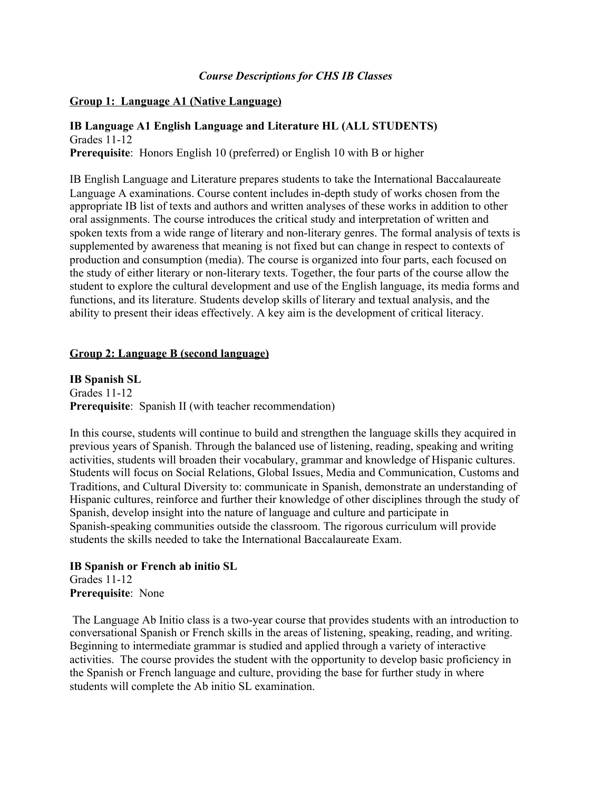### *Course Descriptions for CHS IB Classes*

#### **Group 1: Language A1 (Native Language)**

#### **IB Language A1 English Language and Literature HL (ALL STUDENTS)** Grades 11-12

**Prerequisite**: Honors English 10 (preferred) or English 10 with B or higher

IB English Language and Literature prepares students to take the International Baccalaureate Language A examinations. Course content includes in-depth study of works chosen from the appropriate IB list of texts and authors and written analyses of these works in addition to other oral assignments. The course introduces the critical study and interpretation of written and spoken texts from a wide range of literary and non-literary genres. The formal analysis of texts is supplemented by awareness that meaning is not fixed but can change in respect to contexts of production and consumption (media). The course is organized into four parts, each focused on the study of either literary or non-literary texts. Together, the four parts of the course allow the student to explore the cultural development and use of the English language, its media forms and functions, and its literature. Students develop skills of literary and textual analysis, and the ability to present their ideas effectively. A key aim is the development of critical literacy.

#### **Group 2: Language B (second language)**

**IB Spanish SL** Grades 11-12 **Prerequisite**: Spanish II (with teacher recommendation)

In this course, students will continue to build and strengthen the language skills they acquired in previous years of Spanish. Through the balanced use of listening, reading, speaking and writing activities, students will broaden their vocabulary, grammar and knowledge of Hispanic cultures. Students will focus on Social Relations, Global Issues, Media and Communication, Customs and Traditions, and Cultural Diversity to: communicate in Spanish, demonstrate an understanding of Hispanic cultures, reinforce and further their knowledge of other disciplines through the study of Spanish, develop insight into the nature of language and culture and participate in Spanish-speaking communities outside the classroom. The rigorous curriculum will provide students the skills needed to take the International Baccalaureate Exam.

# **IB Spanish or French ab initio SL**

Grades 11-12 **Prerequisite**: None

 The Language Ab Initio class is a two-year course that provides students with an introduction to conversational Spanish or French skills in the areas of listening, speaking, reading, and writing. Beginning to intermediate grammar is studied and applied through a variety of interactive activities. The course provides the student with the opportunity to develop basic proficiency in the Spanish or French language and culture, providing the base for further study in where students will complete the Ab initio SL examination.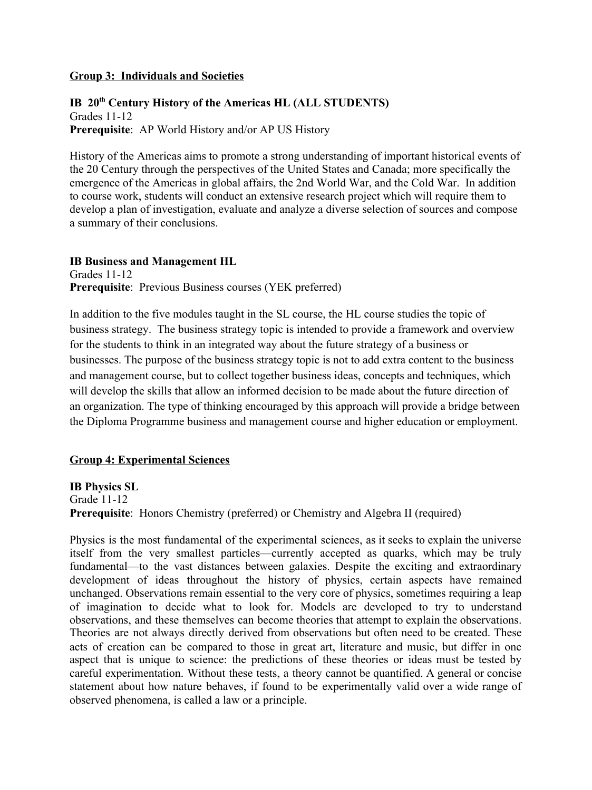#### **Group 3: Individuals and Societies**

### **IB 20th Century History of the Americas HL (ALL STUDENTS)** Grades 11-12 **Prerequisite**: AP World History and/or AP US History

History of the Americas aims to promote a strong understanding of important historical events of the 20 Century through the perspectives of the United States and Canada; more specifically the emergence of the Americas in global affairs, the 2nd World War, and the Cold War. In addition to course work, students will conduct an extensive research project which will require them to develop a plan of investigation, evaluate and analyze a diverse selection of sources and compose a summary of their conclusions.

#### **IB Business and Management HL**

Grades 11-12 **Prerequisite**: Previous Business courses (YEK preferred)

In addition to the five modules taught in the SL course, the HL course studies the topic of business strategy. The business strategy topic is intended to provide a framework and overview for the students to think in an integrated way about the future strategy of a business or businesses. The purpose of the business strategy topic is not to add extra content to the business and management course, but to collect together business ideas, concepts and techniques, which will develop the skills that allow an informed decision to be made about the future direction of an organization. The type of thinking encouraged by this approach will provide a bridge between the Diploma Programme business and management course and higher education or employment.

### **Group 4: Experimental Sciences**

### **IB Physics SL**

Grade 11-12 **Prerequisite**: Honors Chemistry (preferred) or Chemistry and Algebra II (required)

Physics is the most fundamental of the experimental sciences, as it seeks to explain the universe itself from the very smallest particles—currently accepted as quarks, which may be truly fundamental—to the vast distances between galaxies. Despite the exciting and extraordinary development of ideas throughout the history of physics, certain aspects have remained unchanged. Observations remain essential to the very core of physics, sometimes requiring a leap of imagination to decide what to look for. Models are developed to try to understand observations, and these themselves can become theories that attempt to explain the observations. Theories are not always directly derived from observations but often need to be created. These acts of creation can be compared to those in great art, literature and music, but differ in one aspect that is unique to science: the predictions of these theories or ideas must be tested by careful experimentation. Without these tests, a theory cannot be quantified. A general or concise statement about how nature behaves, if found to be experimentally valid over a wide range of observed phenomena, is called a law or a principle.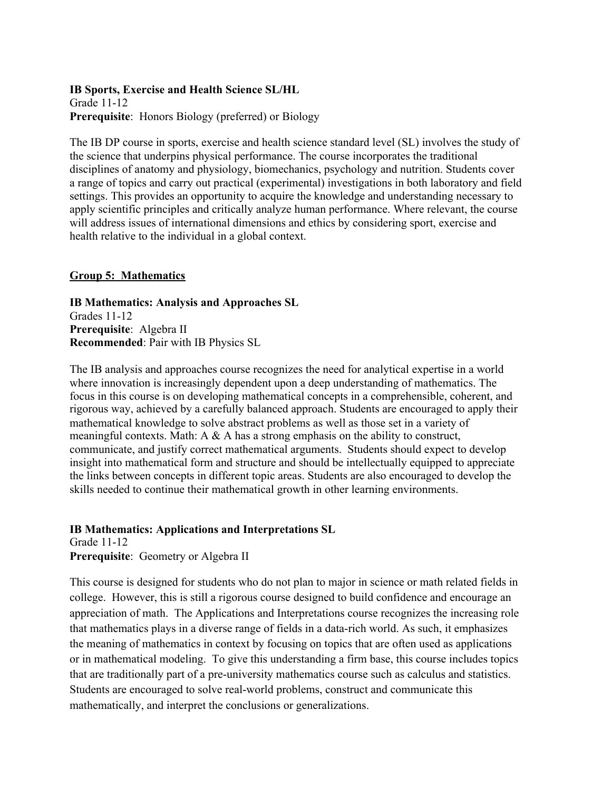### **IB Sports, Exercise and Health Science SL/HL** Grade 11-12 **Prerequisite**: Honors Biology (preferred) or Biology

The IB DP course in sports, exercise and health science standard level (SL) involves the study of the science that underpins physical performance. The course incorporates the traditional disciplines of anatomy and physiology, biomechanics, psychology and nutrition. Students cover a range of topics and carry out practical (experimental) investigations in both laboratory and field settings. This provides an opportunity to acquire the knowledge and understanding necessary to apply scientific principles and critically analyze human performance. Where relevant, the course will address issues of international dimensions and ethics by considering sport, exercise and health relative to the individual in a global context.

# **Group 5: Mathematics**

### **IB Mathematics: Analysis and Approaches SL** Grades 11-12 **Prerequisite**: Algebra II **Recommended**: Pair with IB Physics SL

The IB analysis and approaches course recognizes the need for analytical expertise in a world where innovation is increasingly dependent upon a deep understanding of mathematics. The focus in this course is on developing mathematical concepts in a comprehensible, coherent, and rigorous way, achieved by a carefully balanced approach. Students are encouraged to apply their mathematical knowledge to solve abstract problems as well as those set in a variety of meaningful contexts. Math: A & A has a strong emphasis on the ability to construct, communicate, and justify correct mathematical arguments. Students should expect to develop insight into mathematical form and structure and should be intellectually equipped to appreciate the links between concepts in different topic areas. Students are also encouraged to develop the skills needed to continue their mathematical growth in other learning environments.

# **IB Mathematics: Applications and Interpretations SL**

Grade 11-12 **Prerequisite**: Geometry or Algebra II

This course is designed for students who do not plan to major in science or math related fields in college. However, this is still a rigorous course designed to build confidence and encourage an appreciation of math. The Applications and Interpretations course recognizes the increasing role that mathematics plays in a diverse range of fields in a data-rich world. As such, it emphasizes the meaning of mathematics in context by focusing on topics that are often used as applications or in mathematical modeling. To give this understanding a firm base, this course includes topics that are traditionally part of a pre-university mathematics course such as calculus and statistics. Students are encouraged to solve real-world problems, construct and communicate this mathematically, and interpret the conclusions or generalizations.